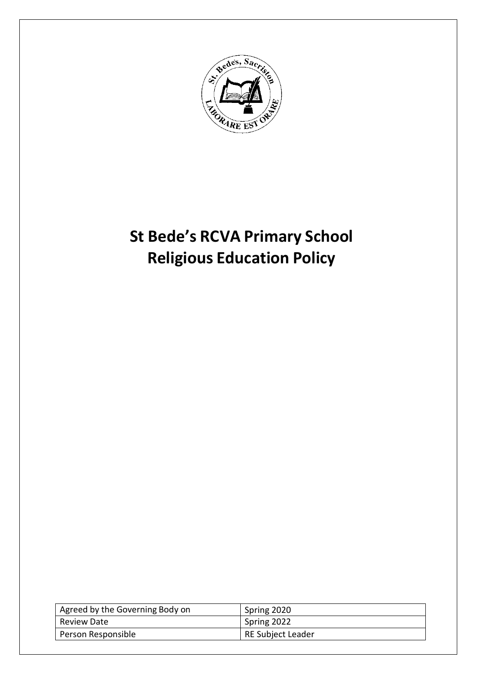

# **St Bede's RCVA Primary School Religious Education Policy**

| Agreed by the Governing Body on | Spring 2020              |
|---------------------------------|--------------------------|
| Review Date                     | Spring 2022              |
| Person Responsible              | <b>RE Subject Leader</b> |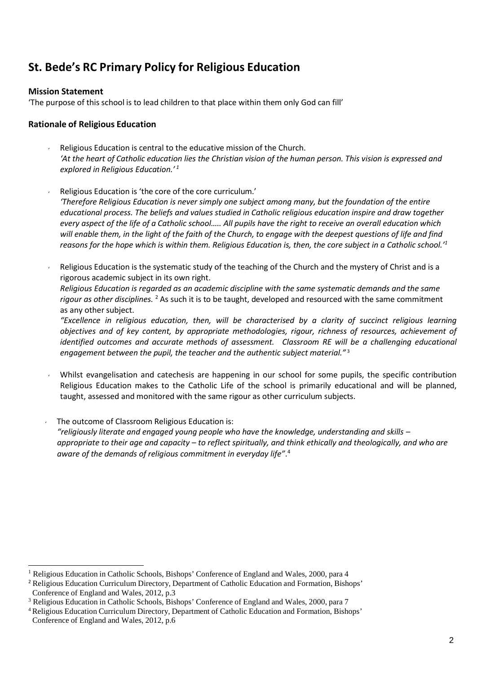# **St. Bede's RC Primary Policy for Religious Education**

#### **Mission Statement**

'The purpose of this school is to lead children to that place within them only God can fill'

#### **Rationale of Religious Education**

- $\sim$  Religious Education is central to the educative mission of the Church. *'At the heart of Catholic education lies the Christian vision of the human person. This vision is expressed and explored in Religious Education.' <sup>1</sup>*
- Religious Education is 'the core of the core curriculum.' *'Therefore Religious Education is never simply one subject among many, but the foundation of the entire educational process. The beliefs and values studied in Catholic religious education inspire and draw together every aspect of the life of a Catholic school….. All pupils have the right to receive an overall education which will enable them, in the light of the faith of the Church, to engage with the deepest questions of life and find reasons for the hope which is within them. Religious Education is, then, the core subject in a Catholic school.' 1*
- Religious Education is the systematic study of the teaching of the Church and the mystery of Christ and is a rigorous academic subject in its own right. *Religious Education is regarded as an academic discipline with the same systematic demands and the same rigour as other disciplines.* <sup>2</sup> As such it is to be taught, developed and resourced with the same commitment as any other subject.

*"Excellence in religious education, then, will be characterised by a clarity of succinct religious learning objectives and of key content, by appropriate methodologies, rigour, richness of resources, achievement of identified outcomes and accurate methods of assessment. Classroom RE will be a challenging educational engagement between the pupil, the teacher and the authentic subject material."* <sup>3</sup>

- Whilst evangelisation and catechesis are happening in our school for some pupils, the specific contribution Religious Education makes to the Catholic Life of the school is primarily educational and will be planned, taught, assessed and monitored with the same rigour as other curriculum subjects.
- The outcome of Classroom Religious Education is: *"religiously literate and engaged young people who have the knowledge, understanding and skills – appropriate to their age and capacity – to reflect spiritually, and think ethically and theologically, and who are aware of the demands of religious commitment in everyday life"*. 4

<sup>&</sup>lt;sup>1</sup> Religious Education in Catholic Schools, Bishops' Conference of England and Wales, 2000, para 4

<sup>&</sup>lt;sup>2</sup> Religious Education Curriculum Directory, Department of Catholic Education and Formation, Bishops' Conference of England and Wales, 2012, p.3

<sup>&</sup>lt;sup>3</sup> Religious Education in Catholic Schools, Bishops' Conference of England and Wales, 2000, para 7

<sup>4</sup> Religious Education Curriculum Directory, Department of Catholic Education and Formation, Bishops' Conference of England and Wales, 2012, p.6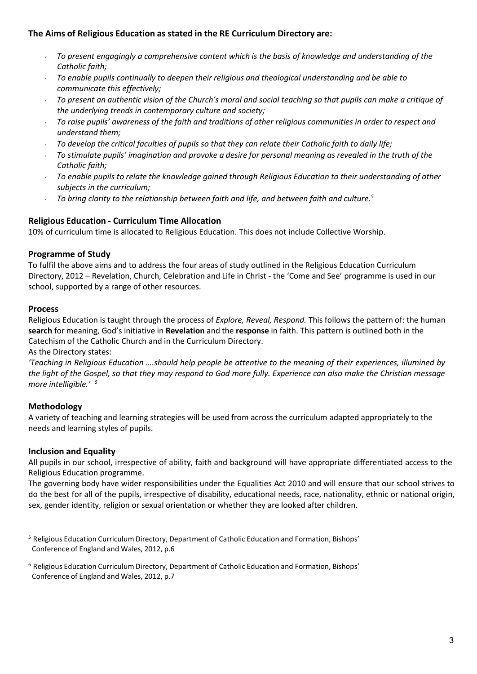# **The Aims of Religious Education as stated in the RE Curriculum Directory are:**

- *To present engagingly a comprehensive content which is the basis of knowledge and understanding of the Catholic faith;*
- *To enable pupils continually to deepen their religious and theological understanding and be able to communicate this effectively;*
- *To present an authentic vision of the Church's moral and social teaching so that pupils can make a critique of the underlying trends in contemporary culture and society;*
- *To raise pupils' awareness of the faith and traditions of other religious communities in order to respect and understand them;*
- *To develop the critical faculties of pupils so that they can relate their Catholic faith to daily life;*
- *To stimulate pupils' imagination and provoke a desire for personal meaning as revealed in the truth of the Catholic faith;*
- *To enable pupils to relate the knowledge gained through Religious Education to their understanding of other subjects in the curriculum;*
- *To bring clarity to the relationship between faith and life, and between faith and culture. 5*

#### **Religious Education - Curriculum Time Allocation**

10% of curriculum time is allocated to Religious Education. This does not include Collective Worship.

#### **Programme of Study**

To fulfil the above aims and to address the four areas of study outlined in the Religious Education Curriculum Directory, 2012 – Revelation, Church, Celebration and Life in Christ - the 'Come and See' programme is used in our school, supported by a range of other resources.

#### **Process**

Religious Education is taught through the process of *Explore, Reveal, Respond.* This follows the pattern of: the human **search** for meaning, God's initiative in **Revelation** and the **response** in faith. This pattern is outlined both in the Catechism of the Catholic Church and in the Curriculum Directory.

As the Directory states:

*'Teaching in Religious Education ….should help people be attentive to the meaning of their experiences, illumined by the light of the Gospel, so that they may respond to God more fully. Experience can also make the Christian message more intelligible.' 6*

# **Methodology**

A variety of teaching and learning strategies will be used from across the curriculum adapted appropriately to the needs and learning styles of pupils.

#### **Inclusion and Equality**

All pupils in our school, irrespective of ability, faith and background will have appropriate differentiated access to the Religious Education programme.

The governing body have wider responsibilities under the Equalities Act 2010 and will ensure that our school strives to do the best for all of the pupils, irrespective of disability, educational needs, race, nationality, ethnic or national origin, sex, gender identity, religion or sexual orientation or whether they are looked after children.

<sup>5</sup> Religious Education Curriculum Directory, Department of Catholic Education and Formation, Bishops' Conference of England and Wales, 2012, p.6

<sup>6</sup> Religious Education Curriculum Directory, Department of Catholic Education and Formation, Bishops' Conference of England and Wales, 2012, p.7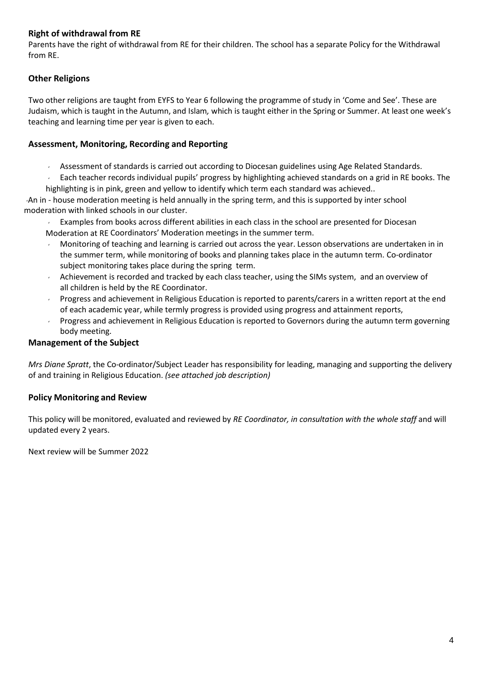# **Right of withdrawal from RE**

Parents have the right of withdrawal from RE for their children. The school has a separate Policy for the Withdrawal from RE.

# **Other Religions**

Two other religions are taught from EYFS to Year 6 following the programme of study in 'Come and See'. These are Judaism, which is taught in the Autumn, and Islam*,* which is taught either in the Spring or Summer. At least one week's teaching and learning time per year is given to each.

### **Assessment, Monitoring, Recording and Reporting**

- Assessment of standards is carried out according to Diocesan guidelines using Age Related Standards.
- Each teacher records individual pupils' progress by highlighting achieved standards on a grid in RE books. The highlighting is in pink, green and yellow to identify which term each standard was achieved..

An in - house moderation meeting is held annually in the spring term, and this is supported by inter school moderation with linked schools in our cluster.

 Examples from books across different abilities in each class in the school are presented for Diocesan Moderation at RE Coordinators' Moderation meetings in the summer term.

- Monitoring of teaching and learning is carried out across the year. Lesson observations are undertaken in in the summer term, while monitoring of books and planning takes place in the autumn term. Co-ordinator subject monitoring takes place during the spring term.
- Achievement is recorded and tracked by each class teacher, using the SIMs system, and an overview of all children is held by the RE Coordinator.
- **Progress and achievement in Religious Education is reported to parents/carers in a written report at the end** of each academic year, while termly progress is provided using progress and attainment reports,
- Progress and achievement in Religious Education is reported to Governors during the autumn term governing body meeting.

# **Management of the Subject**

*Mrs Diane Spratt*, the Co-ordinator/Subject Leader has responsibility for leading, managing and supporting the delivery of and training in Religious Education. *(see attached job description)*

# **Policy Monitoring and Review**

This policy will be monitored, evaluated and reviewed by *RE Coordinator, in consultation with the whole staff* and will updated every 2 years.

Next review will be Summer 2022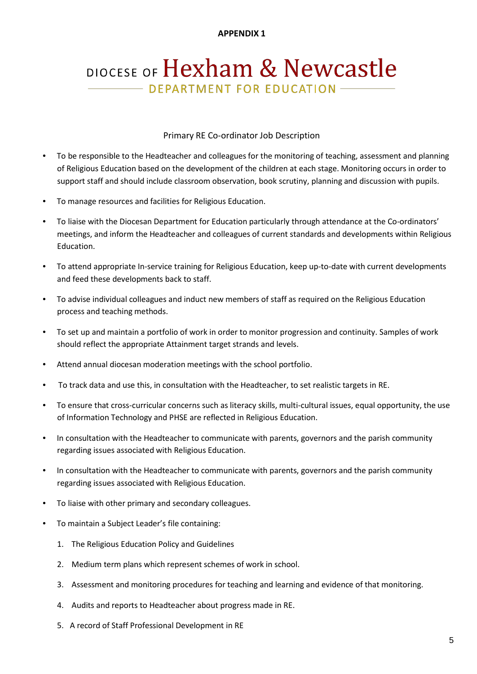#### **APPENDIX 1**

# DIOCESE OF Hexham & Newcastle - DEPARTMENT FOR EDUCATION

#### Primary RE Co-ordinator Job Description

- To be responsible to the Headteacher and colleagues for the monitoring of teaching, assessment and planning of Religious Education based on the development of the children at each stage. Monitoring occurs in order to support staff and should include classroom observation, book scrutiny, planning and discussion with pupils.
- To manage resources and facilities for Religious Education.
- To liaise with the Diocesan Department for Education particularly through attendance at the Co-ordinators' meetings, and inform the Headteacher and colleagues of current standards and developments within Religious Education.
- To attend appropriate In-service training for Religious Education, keep up-to-date with current developments and feed these developments back to staff.
- To advise individual colleagues and induct new members of staff as required on the Religious Education process and teaching methods.
- To set up and maintain a portfolio of work in order to monitor progression and continuity. Samples of work should reflect the appropriate Attainment target strands and levels.
- Attend annual diocesan moderation meetings with the school portfolio.
- To track data and use this, in consultation with the Headteacher, to set realistic targets in RE.
- To ensure that cross-curricular concerns such as literacy skills, multi-cultural issues, equal opportunity, the use of Information Technology and PHSE are reflected in Religious Education.
- In consultation with the Headteacher to communicate with parents, governors and the parish community regarding issues associated with Religious Education.
- In consultation with the Headteacher to communicate with parents, governors and the parish community regarding issues associated with Religious Education.
- To liaise with other primary and secondary colleagues.
- To maintain a Subject Leader's file containing:
	- 1. The Religious Education Policy and Guidelines
	- 2. Medium term plans which represent schemes of work in school.
	- 3. Assessment and monitoring procedures for teaching and learning and evidence of that monitoring.
	- 4. Audits and reports to Headteacher about progress made in RE.
	- 5. A record of Staff Professional Development in RE